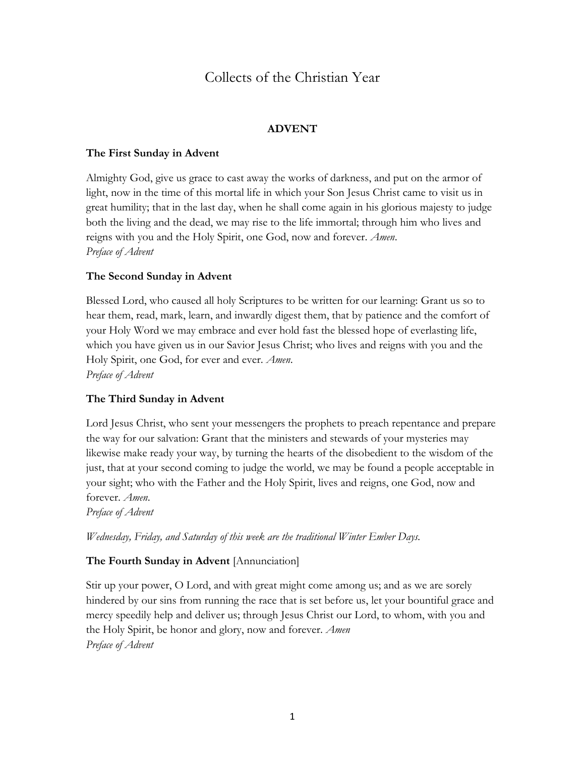# Collects of the Christian Year

### **ADVENT**

#### **The First Sunday in Advent**

Almighty God, give us grace to cast away the works of darkness, and put on the armor of light, now in the time of this mortal life in which your Son Jesus Christ came to visit us in great humility; that in the last day, when he shall come again in his glorious majesty to judge both the living and the dead, we may rise to the life immortal; through him who lives and reigns with you and the Holy Spirit, one God, now and forever. *Amen*. *Preface of Advent*

#### **The Second Sunday in Advent**

Blessed Lord, who caused all holy Scriptures to be written for our learning: Grant us so to hear them, read, mark, learn, and inwardly digest them, that by patience and the comfort of your Holy Word we may embrace and ever hold fast the blessed hope of everlasting life, which you have given us in our Savior Jesus Christ; who lives and reigns with you and the Holy Spirit, one God, for ever and ever. *Amen*. *Preface of Advent*

#### **The Third Sunday in Advent**

Lord Jesus Christ, who sent your messengers the prophets to preach repentance and prepare the way for our salvation: Grant that the ministers and stewards of your mysteries may likewise make ready your way, by turning the hearts of the disobedient to the wisdom of the just, that at your second coming to judge the world, we may be found a people acceptable in your sight; who with the Father and the Holy Spirit, lives and reigns, one God, now and forever. *Amen*.

*Preface of Advent*

*Wednesday, Friday, and Saturday of this week are the traditional Winter Ember Days.*

#### **The Fourth Sunday in Advent** [Annunciation]

Stir up your power, O Lord, and with great might come among us; and as we are sorely hindered by our sins from running the race that is set before us, let your bountiful grace and mercy speedily help and deliver us; through Jesus Christ our Lord, to whom, with you and the Holy Spirit, be honor and glory, now and forever. *Amen Preface of Advent*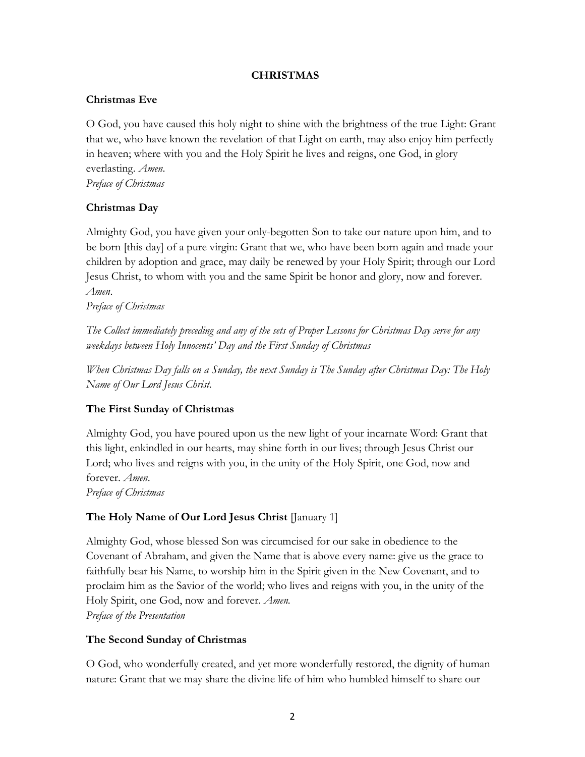#### **CHRISTMAS**

#### **Christmas Eve**

O God, you have caused this holy night to shine with the brightness of the true Light: Grant that we, who have known the revelation of that Light on earth, may also enjoy him perfectly in heaven; where with you and the Holy Spirit he lives and reigns, one God, in glory everlasting. *Amen*. *Preface of Christmas*

### **Christmas Day**

Almighty God, you have given your only-begotten Son to take our nature upon him, and to be born [this day] of a pure virgin: Grant that we, who have been born again and made your children by adoption and grace, may daily be renewed by your Holy Spirit; through our Lord Jesus Christ, to whom with you and the same Spirit be honor and glory, now and forever. *Amen*.

*Preface of Christmas*

*The Collect immediately preceding and any of the sets of Proper Lessons for Christmas Day serve for any weekdays between Holy Innocents' Day and the First Sunday of Christmas* 

*When Christmas Day falls on a Sunday, the next Sunday is The Sunday after Christmas Day: The Holy Name of Our Lord Jesus Christ.*

#### **The First Sunday of Christmas**

Almighty God, you have poured upon us the new light of your incarnate Word: Grant that this light, enkindled in our hearts, may shine forth in our lives; through Jesus Christ our Lord; who lives and reigns with you, in the unity of the Holy Spirit, one God, now and forever. *Amen*. *Preface of Christmas*

#### **The Holy Name of Our Lord Jesus Christ** [January 1]

Almighty God, whose blessed Son was circumcised for our sake in obedience to the Covenant of Abraham, and given the Name that is above every name: give us the grace to faithfully bear his Name, to worship him in the Spirit given in the New Covenant, and to proclaim him as the Savior of the world; who lives and reigns with you, in the unity of the Holy Spirit, one God, now and forever. *Amen. Preface of the Presentation*

#### **The Second Sunday of Christmas**

O God, who wonderfully created, and yet more wonderfully restored, the dignity of human nature: Grant that we may share the divine life of him who humbled himself to share our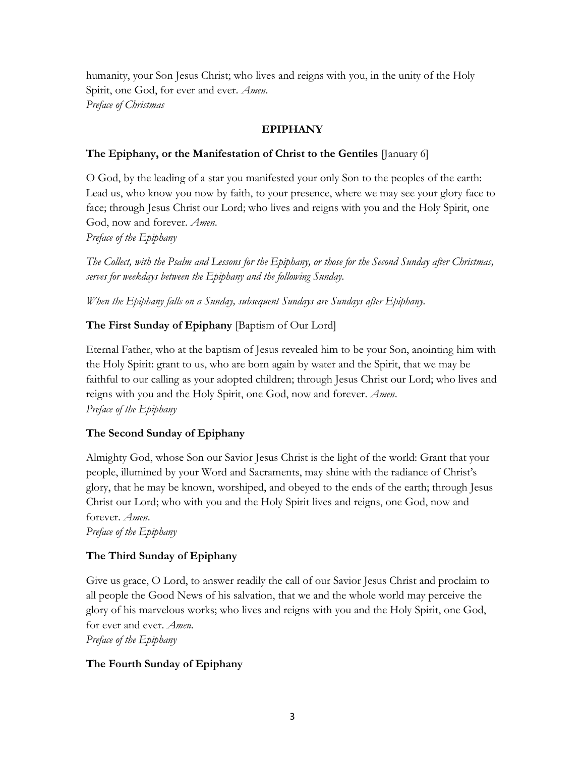humanity, your Son Jesus Christ; who lives and reigns with you, in the unity of the Holy Spirit, one God, for ever and ever. *Amen*. *Preface of Christmas*

### **EPIPHANY**

### **The Epiphany, or the Manifestation of Christ to the Gentiles** [January 6]

O God, by the leading of a star you manifested your only Son to the peoples of the earth: Lead us, who know you now by faith, to your presence, where we may see your glory face to face; through Jesus Christ our Lord; who lives and reigns with you and the Holy Spirit, one God, now and forever. *Amen*.

*Preface of the Epiphany*

*The Collect, with the Psalm and Lessons for the Epiphany, or those for the Second Sunday after Christmas, serves for weekdays between the Epiphany and the following Sunday.*

*When the Epiphany falls on a Sunday, subsequent Sundays are Sundays after Epiphany.* 

# **The First Sunday of Epiphany** [Baptism of Our Lord]

Eternal Father, who at the baptism of Jesus revealed him to be your Son, anointing him with the Holy Spirit: grant to us, who are born again by water and the Spirit, that we may be faithful to our calling as your adopted children; through Jesus Christ our Lord; who lives and reigns with you and the Holy Spirit, one God, now and forever. *Amen*. *Preface of the Epiphany*

### **The Second Sunday of Epiphany**

Almighty God, whose Son our Savior Jesus Christ is the light of the world: Grant that your people, illumined by your Word and Sacraments, may shine with the radiance of Christ's glory, that he may be known, worshiped, and obeyed to the ends of the earth; through Jesus Christ our Lord; who with you and the Holy Spirit lives and reigns, one God, now and forever. *Amen*.

*Preface of the Epiphany*

# **The Third Sunday of Epiphany**

Give us grace, O Lord, to answer readily the call of our Savior Jesus Christ and proclaim to all people the Good News of his salvation, that we and the whole world may perceive the glory of his marvelous works; who lives and reigns with you and the Holy Spirit, one God, for ever and ever. *Amen. Preface of the Epiphany*

### **The Fourth Sunday of Epiphany**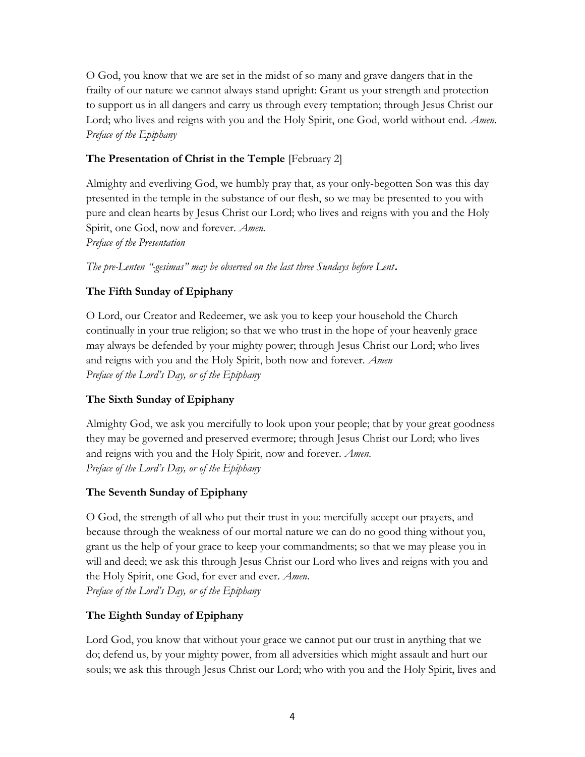O God, you know that we are set in the midst of so many and grave dangers that in the frailty of our nature we cannot always stand upright: Grant us your strength and protection to support us in all dangers and carry us through every temptation; through Jesus Christ our Lord; who lives and reigns with you and the Holy Spirit, one God, world without end. *Amen*. *Preface of the Epiphany*

# **The Presentation of Christ in the Temple** [February 2]

Almighty and everliving God, we humbly pray that, as your only-begotten Son was this day presented in the temple in the substance of our flesh, so we may be presented to you with pure and clean hearts by Jesus Christ our Lord; who lives and reigns with you and the Holy Spirit, one God, now and forever. *Amen.*

*Preface of the Presentation*

*The pre-Lenten "-gesimas" may be observed on the last three Sundays before Lent***.**

### **The Fifth Sunday of Epiphany**

O Lord, our Creator and Redeemer, we ask you to keep your household the Church continually in your true religion; so that we who trust in the hope of your heavenly grace may always be defended by your mighty power; through Jesus Christ our Lord; who lives and reigns with you and the Holy Spirit, both now and forever. *Amen Preface of the Lord's Day, or of the Epiphany*

# **The Sixth Sunday of Epiphany**

Almighty God, we ask you mercifully to look upon your people; that by your great goodness they may be governed and preserved evermore; through Jesus Christ our Lord; who lives and reigns with you and the Holy Spirit, now and forever. *Amen*. *Preface of the Lord's Day, or of the Epiphany*

### **The Seventh Sunday of Epiphany**

O God, the strength of all who put their trust in you: mercifully accept our prayers, and because through the weakness of our mortal nature we can do no good thing without you, grant us the help of your grace to keep your commandments; so that we may please you in will and deed; we ask this through Jesus Christ our Lord who lives and reigns with you and the Holy Spirit, one God, for ever and ever. *Amen*. *Preface of the Lord's Day, or of the Epiphany*

### **The Eighth Sunday of Epiphany**

Lord God, you know that without your grace we cannot put our trust in anything that we do; defend us, by your mighty power, from all adversities which might assault and hurt our souls; we ask this through Jesus Christ our Lord; who with you and the Holy Spirit, lives and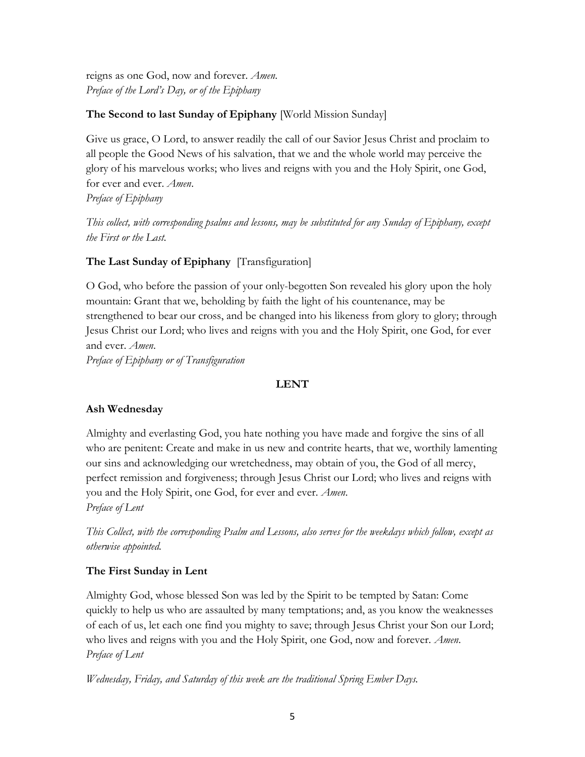reigns as one God, now and forever. *Amen*. *Preface of the Lord's Day, or of the Epiphany*

# **The Second to last Sunday of Epiphany** [World Mission Sunday]

Give us grace, O Lord, to answer readily the call of our Savior Jesus Christ and proclaim to all people the Good News of his salvation, that we and the whole world may perceive the glory of his marvelous works; who lives and reigns with you and the Holy Spirit, one God, for ever and ever. *Amen*.

*Preface of Epiphany*

*This collect, with corresponding psalms and lessons, may be substituted for any Sunday of Epiphany, except the First or the Last.* 

### **The Last Sunday of Epiphany** [Transfiguration]

O God, who before the passion of your only-begotten Son revealed his glory upon the holy mountain: Grant that we, beholding by faith the light of his countenance, may be strengthened to bear our cross, and be changed into his likeness from glory to glory; through Jesus Christ our Lord; who lives and reigns with you and the Holy Spirit, one God, for ever and ever. *Amen*.

*Preface of Epiphany or of Transfiguration*

### **LENT**

### **Ash Wednesday**

Almighty and everlasting God, you hate nothing you have made and forgive the sins of all who are penitent: Create and make in us new and contrite hearts, that we, worthily lamenting our sins and acknowledging our wretchedness, may obtain of you, the God of all mercy, perfect remission and forgiveness; through Jesus Christ our Lord; who lives and reigns with you and the Holy Spirit, one God, for ever and ever. *Amen*. *Preface of Lent* 

*This Collect, with the corresponding Psalm and Lessons, also serves for the weekdays which follow, except as otherwise appointed.*

# **The First Sunday in Lent**

Almighty God, whose blessed Son was led by the Spirit to be tempted by Satan: Come quickly to help us who are assaulted by many temptations; and, as you know the weaknesses of each of us, let each one find you mighty to save; through Jesus Christ your Son our Lord; who lives and reigns with you and the Holy Spirit, one God, now and forever. *Amen*. *Preface of Lent* 

*Wednesday, Friday, and Saturday of this week are the traditional Spring Ember Days.*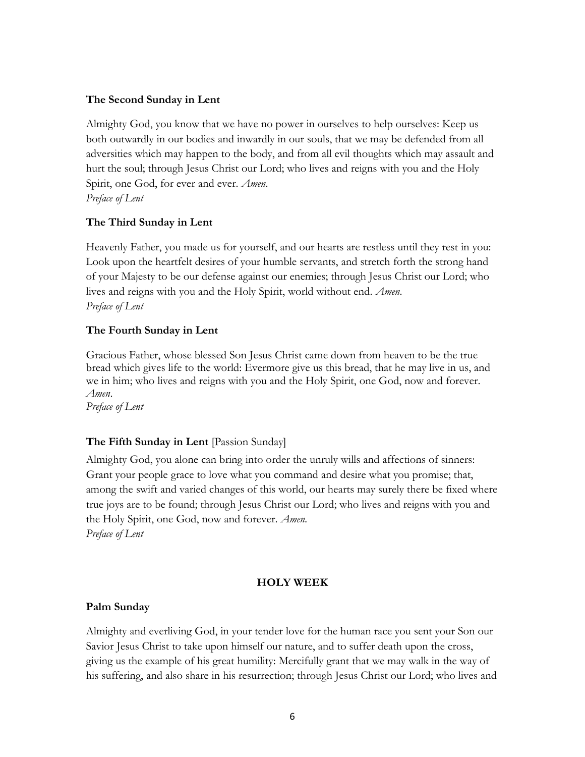#### **The Second Sunday in Lent**

Almighty God, you know that we have no power in ourselves to help ourselves: Keep us both outwardly in our bodies and inwardly in our souls, that we may be defended from all adversities which may happen to the body, and from all evil thoughts which may assault and hurt the soul; through Jesus Christ our Lord; who lives and reigns with you and the Holy Spirit, one God, for ever and ever. *Amen*. *Preface of Lent* 

#### **The Third Sunday in Lent**

Heavenly Father, you made us for yourself, and our hearts are restless until they rest in you: Look upon the heartfelt desires of your humble servants, and stretch forth the strong hand of your Majesty to be our defense against our enemies; through Jesus Christ our Lord; who lives and reigns with you and the Holy Spirit, world without end. *Amen*. *Preface of Lent* 

#### **The Fourth Sunday in Lent**

Gracious Father, whose blessed Son Jesus Christ came down from heaven to be the true bread which gives life to the world: Evermore give us this bread, that he may live in us, and we in him; who lives and reigns with you and the Holy Spirit, one God, now and forever. *Amen*.

*Preface of Lent*

### **The Fifth Sunday in Lent** [Passion Sunday]

Almighty God, you alone can bring into order the unruly wills and affections of sinners: Grant your people grace to love what you command and desire what you promise; that, among the swift and varied changes of this world, our hearts may surely there be fixed where true joys are to be found; through Jesus Christ our Lord; who lives and reigns with you and the Holy Spirit, one God, now and forever. *Amen. Preface of Lent*

#### **HOLY WEEK**

#### **Palm Sunday**

Almighty and everliving God, in your tender love for the human race you sent your Son our Savior Jesus Christ to take upon himself our nature, and to suffer death upon the cross, giving us the example of his great humility: Mercifully grant that we may walk in the way of his suffering, and also share in his resurrection; through Jesus Christ our Lord; who lives and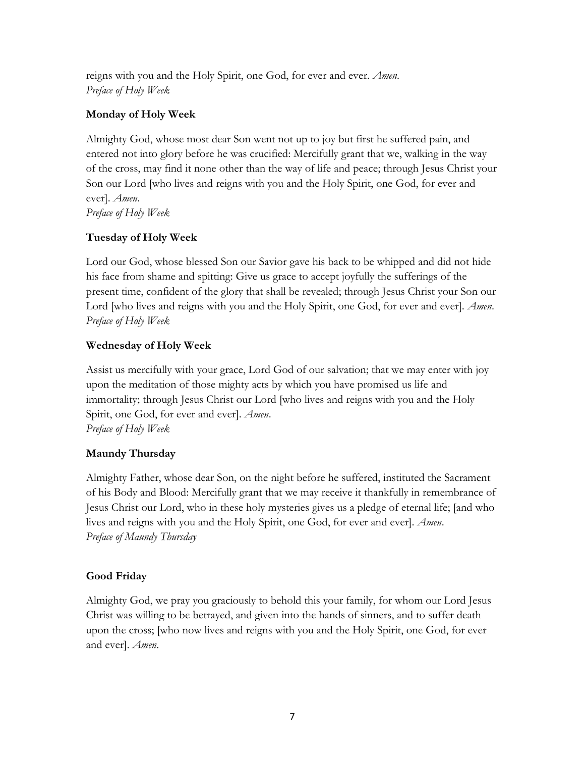reigns with you and the Holy Spirit, one God, for ever and ever. *Amen*. *Preface of Holy Week*

### **Monday of Holy Week**

Almighty God, whose most dear Son went not up to joy but first he suffered pain, and entered not into glory before he was crucified: Mercifully grant that we, walking in the way of the cross, may find it none other than the way of life and peace; through Jesus Christ your Son our Lord [who lives and reigns with you and the Holy Spirit, one God, for ever and ever]. *Amen*. *Preface of Holy Week*

### **Tuesday of Holy Week**

Lord our God, whose blessed Son our Savior gave his back to be whipped and did not hide his face from shame and spitting: Give us grace to accept joyfully the sufferings of the present time, confident of the glory that shall be revealed; through Jesus Christ your Son our Lord [who lives and reigns with you and the Holy Spirit, one God, for ever and ever]. *Amen*. *Preface of Holy Week*

### **Wednesday of Holy Week**

Assist us mercifully with your grace, Lord God of our salvation; that we may enter with joy upon the meditation of those mighty acts by which you have promised us life and immortality; through Jesus Christ our Lord [who lives and reigns with you and the Holy Spirit, one God, for ever and ever]. *Amen*. *Preface of Holy Week*

### **Maundy Thursday**

Almighty Father, whose dear Son, on the night before he suffered, instituted the Sacrament of his Body and Blood: Mercifully grant that we may receive it thankfully in remembrance of Jesus Christ our Lord, who in these holy mysteries gives us a pledge of eternal life; [and who lives and reigns with you and the Holy Spirit, one God, for ever and ever]. *Amen*. *Preface of Maundy Thursday*

# **Good Friday**

Almighty God, we pray you graciously to behold this your family, for whom our Lord Jesus Christ was willing to be betrayed, and given into the hands of sinners, and to suffer death upon the cross; [who now lives and reigns with you and the Holy Spirit, one God, for ever and ever]. *Amen*.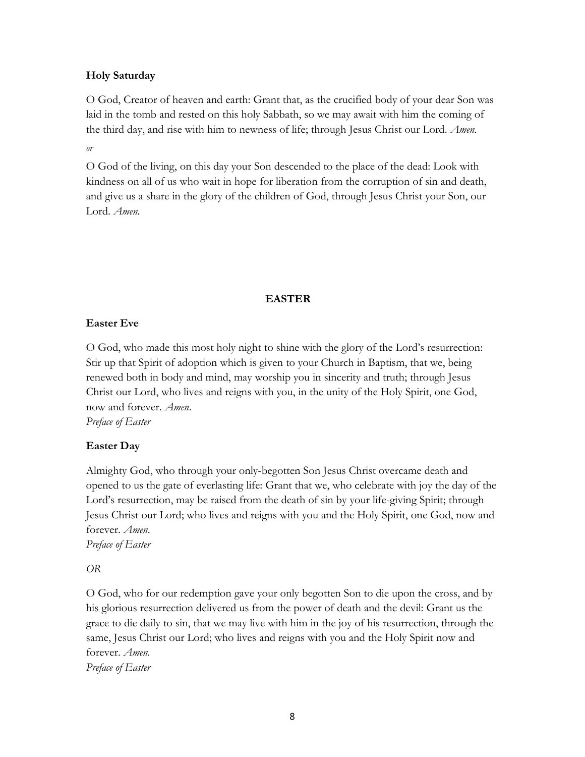### **Holy Saturday**

O God, Creator of heaven and earth: Grant that, as the crucified body of your dear Son was laid in the tomb and rested on this holy Sabbath, so we may await with him the coming of the third day, and rise with him to newness of life; through Jesus Christ our Lord. *Amen.*

*or*

O God of the living, on this day your Son descended to the place of the dead: Look with kindness on all of us who wait in hope for liberation from the corruption of sin and death, and give us a share in the glory of the children of God, through Jesus Christ your Son, our Lord. *Amen.*

#### **EASTER**

#### **Easter Eve**

O God, who made this most holy night to shine with the glory of the Lord's resurrection: Stir up that Spirit of adoption which is given to your Church in Baptism, that we, being renewed both in body and mind, may worship you in sincerity and truth; through Jesus Christ our Lord, who lives and reigns with you, in the unity of the Holy Spirit, one God, now and forever. *Amen*.

*Preface of Easter*

### **Easter Day**

Almighty God, who through your only-begotten Son Jesus Christ overcame death and opened to us the gate of everlasting life: Grant that we, who celebrate with joy the day of the Lord's resurrection, may be raised from the death of sin by your life-giving Spirit; through Jesus Christ our Lord; who lives and reigns with you and the Holy Spirit, one God, now and forever. *Amen*.

*Preface of Easter*

*OR*

O God, who for our redemption gave your only begotten Son to die upon the cross, and by his glorious resurrection delivered us from the power of death and the devil: Grant us the grace to die daily to sin, that we may live with him in the joy of his resurrection, through the same, Jesus Christ our Lord; who lives and reigns with you and the Holy Spirit now and forever. *Amen. Preface of Easter*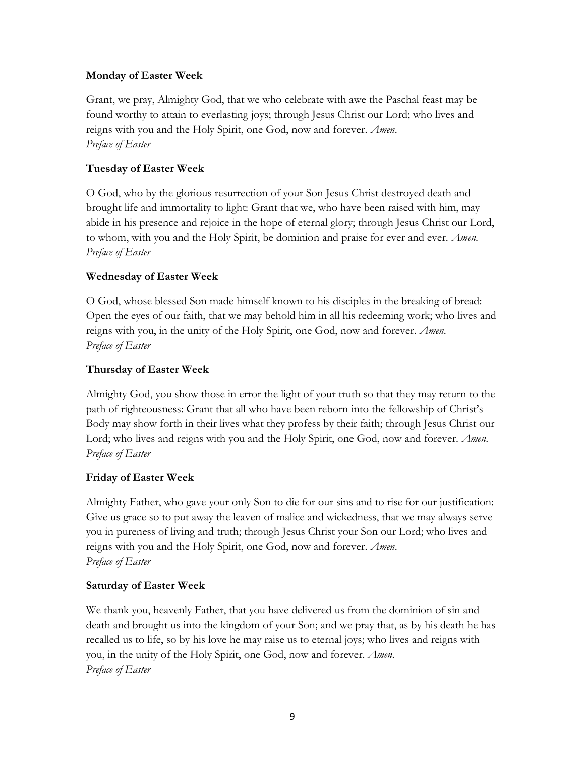### **Monday of Easter Week**

Grant, we pray, Almighty God, that we who celebrate with awe the Paschal feast may be found worthy to attain to everlasting joys; through Jesus Christ our Lord; who lives and reigns with you and the Holy Spirit, one God, now and forever. *Amen*. *Preface of Easter*

### **Tuesday of Easter Week**

O God, who by the glorious resurrection of your Son Jesus Christ destroyed death and brought life and immortality to light: Grant that we, who have been raised with him, may abide in his presence and rejoice in the hope of eternal glory; through Jesus Christ our Lord, to whom, with you and the Holy Spirit, be dominion and praise for ever and ever. *Amen*. *Preface of Easter*

### **Wednesday of Easter Week**

O God, whose blessed Son made himself known to his disciples in the breaking of bread: Open the eyes of our faith, that we may behold him in all his redeeming work; who lives and reigns with you, in the unity of the Holy Spirit, one God, now and forever. *Amen*. *Preface of Easter*

### **Thursday of Easter Week**

Almighty God, you show those in error the light of your truth so that they may return to the path of righteousness: Grant that all who have been reborn into the fellowship of Christ's Body may show forth in their lives what they profess by their faith; through Jesus Christ our Lord; who lives and reigns with you and the Holy Spirit, one God, now and forever. *Amen*. *Preface of Easter*

### **Friday of Easter Week**

Almighty Father, who gave your only Son to die for our sins and to rise for our justification: Give us grace so to put away the leaven of malice and wickedness, that we may always serve you in pureness of living and truth; through Jesus Christ your Son our Lord; who lives and reigns with you and the Holy Spirit, one God, now and forever. *Amen*. *Preface of Easter*

### **Saturday of Easter Week**

We thank you, heavenly Father, that you have delivered us from the dominion of sin and death and brought us into the kingdom of your Son; and we pray that, as by his death he has recalled us to life, so by his love he may raise us to eternal joys; who lives and reigns with you, in the unity of the Holy Spirit, one God, now and forever. *Amen*. *Preface of Easter*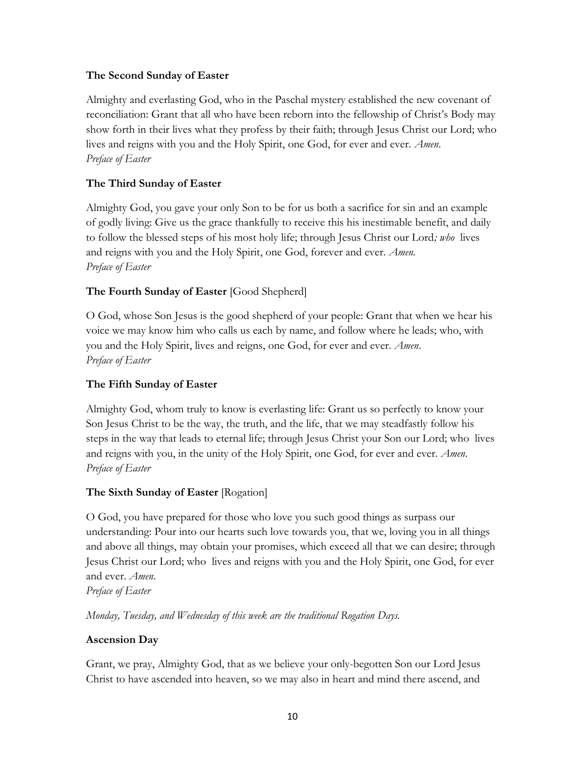#### **The Second Sunday of Easter**

Almighty and everlasting God, who in the Paschal mystery established the new covenant of reconciliation: Grant that all who have been reborn into the fellowship of Christ's Body may show forth in their lives what they profess by their faith; through Jesus Christ our Lord; who lives and reigns with you and the Holy Spirit, one God, for ever and ever. *Amen*. *Preface of Easter*

### **The Third Sunday of Easter**

Almighty God, you gave your only Son to be for us both a sacrifice for sin and an example of godly living: Give us the grace thankfully to receive this his inestimable benefit, and daily to follow the blessed steps of his most holy life; through Jesus Christ our Lord*; who* lives and reigns with you and the Holy Spirit, one God, forever and ever. *Amen. Preface of Easter*

### **The Fourth Sunday of Easter** [Good Shepherd]

O God, whose Son Jesus is the good shepherd of your people: Grant that when we hear his voice we may know him who calls us each by name, and follow where he leads; who, with you and the Holy Spirit, lives and reigns, one God, for ever and ever. *Amen*. *Preface of Easter*

### **The Fifth Sunday of Easter**

Almighty God, whom truly to know is everlasting life: Grant us so perfectly to know your Son Jesus Christ to be the way, the truth, and the life, that we may steadfastly follow his steps in the way that leads to eternal life; through Jesus Christ your Son our Lord; who lives and reigns with you, in the unity of the Holy Spirit, one God, for ever and ever. *Amen*. *Preface of Easter*

### **The Sixth Sunday of Easter** [Rogation]

O God, you have prepared for those who love you such good things as surpass our understanding: Pour into our hearts such love towards you, that we, loving you in all things and above all things, may obtain your promises, which exceed all that we can desire; through Jesus Christ our Lord; who lives and reigns with you and the Holy Spirit, one God, for ever and ever. *Amen*.

*Preface of Easter*

*Monday, Tuesday, and Wednesday of this week are the traditional Rogation Days.*

### **Ascension Day**

Grant, we pray, Almighty God, that as we believe your only-begotten Son our Lord Jesus Christ to have ascended into heaven, so we may also in heart and mind there ascend, and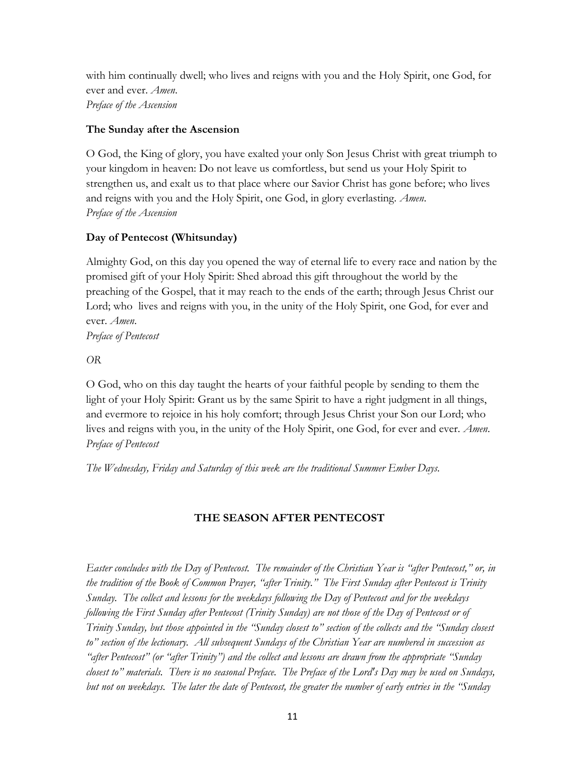with him continually dwell; who lives and reigns with you and the Holy Spirit, one God, for ever and ever. *Amen*. *Preface of the Ascension*

### **The Sunday after the Ascension**

O God, the King of glory, you have exalted your only Son Jesus Christ with great triumph to your kingdom in heaven: Do not leave us comfortless, but send us your Holy Spirit to strengthen us, and exalt us to that place where our Savior Christ has gone before; who lives and reigns with you and the Holy Spirit, one God, in glory everlasting. *Amen*. *Preface of the Ascension*

### **Day of Pentecost (Whitsunday)**

Almighty God, on this day you opened the way of eternal life to every race and nation by the promised gift of your Holy Spirit: Shed abroad this gift throughout the world by the preaching of the Gospel, that it may reach to the ends of the earth; through Jesus Christ our Lord; who lives and reigns with you, in the unity of the Holy Spirit, one God, for ever and ever. *Amen*.

*Preface of Pentecost*

*OR*

O God, who on this day taught the hearts of your faithful people by sending to them the light of your Holy Spirit: Grant us by the same Spirit to have a right judgment in all things, and evermore to rejoice in his holy comfort; through Jesus Christ your Son our Lord; who lives and reigns with you, in the unity of the Holy Spirit, one God, for ever and ever. *Amen*. *Preface of Pentecost*

*The Wednesday, Friday and Saturday of this week are the traditional Summer Ember Days.*

### **THE SEASON AFTER PENTECOST**

*Easter concludes with the Day of Pentecost. The remainder of the Christian Year is "after Pentecost," or, in the tradition of the Book of Common Prayer, "after Trinity." The First Sunday after Pentecost is Trinity Sunday. The collect and lessons for the weekdays following the Day of Pentecost and for the weekdays following the First Sunday after Pentecost (Trinity Sunday) are not those of the Day of Pentecost or of Trinity Sunday, but those appointed in the "Sunday closest to" section of the collects and the "Sunday closest to" section of the lectionary. All subsequent Sundays of the Christian Year are numbered in succession as "after Pentecost" (or "after Trinity") and the collect and lessons are drawn from the appropriate "Sunday closest to" materials. There is no seasonal Preface. The Preface of the Lord's Day may be used on Sundays, but not on weekdays. The later the date of Pentecost, the greater the number of early entries in the "Sunday*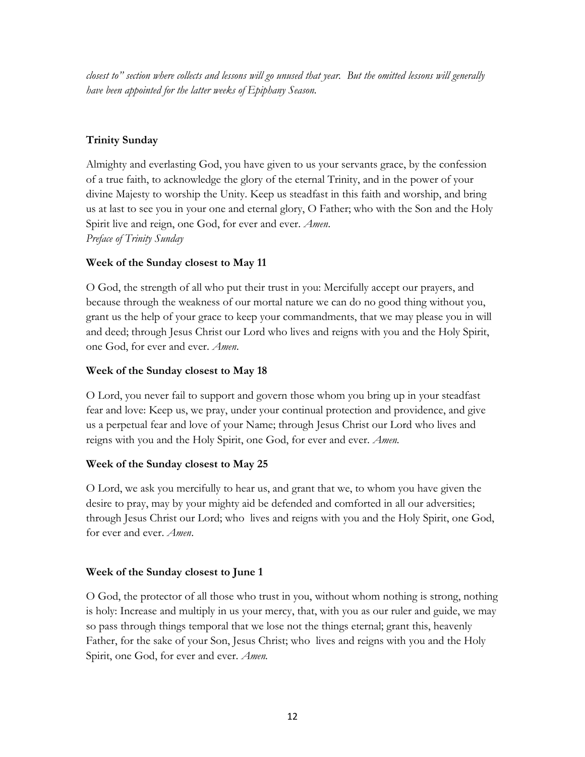*closest to" section where collects and lessons will go unused that year. But the omitted lessons will generally have been appointed for the latter weeks of Epiphany Season.*

# **Trinity Sunday**

Almighty and everlasting God, you have given to us your servants grace, by the confession of a true faith, to acknowledge the glory of the eternal Trinity, and in the power of your divine Majesty to worship the Unity. Keep us steadfast in this faith and worship, and bring us at last to see you in your one and eternal glory, O Father; who with the Son and the Holy Spirit live and reign, one God, for ever and ever. *Amen*. *Preface of Trinity Sunday*

# **Week of the Sunday closest to May 11**

O God, the strength of all who put their trust in you: Mercifully accept our prayers, and because through the weakness of our mortal nature we can do no good thing without you, grant us the help of your grace to keep your commandments, that we may please you in will and deed; through Jesus Christ our Lord who lives and reigns with you and the Holy Spirit, one God, for ever and ever. *Amen*.

# **Week of the Sunday closest to May 18**

O Lord, you never fail to support and govern those whom you bring up in your steadfast fear and love: Keep us, we pray, under your continual protection and providence, and give us a perpetual fear and love of your Name; through Jesus Christ our Lord who lives and reigns with you and the Holy Spirit, one God, for ever and ever. *Amen.* 

### **Week of the Sunday closest to May 25**

O Lord, we ask you mercifully to hear us, and grant that we, to whom you have given the desire to pray, may by your mighty aid be defended and comforted in all our adversities; through Jesus Christ our Lord; who lives and reigns with you and the Holy Spirit, one God, for ever and ever. *Amen*.

# **Week of the Sunday closest to June 1**

O God, the protector of all those who trust in you, without whom nothing is strong, nothing is holy: Increase and multiply in us your mercy, that, with you as our ruler and guide, we may so pass through things temporal that we lose not the things eternal; grant this, heavenly Father, for the sake of your Son, Jesus Christ; who lives and reigns with you and the Holy Spirit, one God, for ever and ever. *Amen.*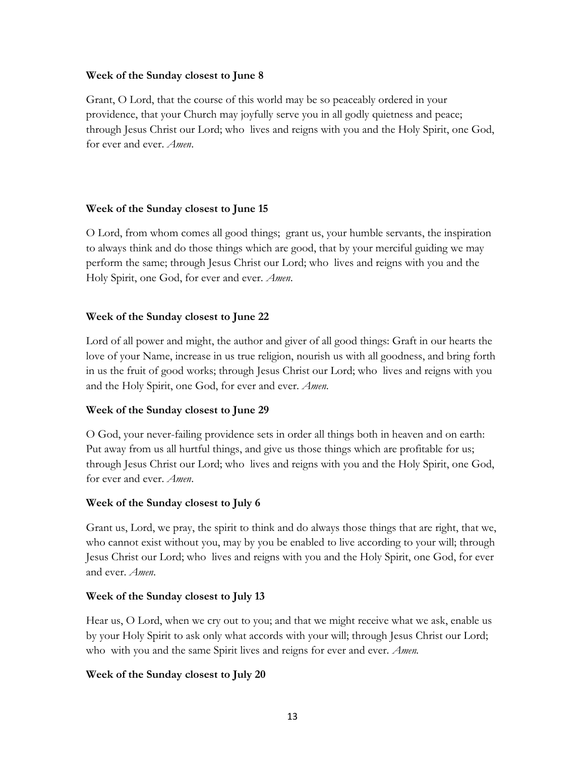#### **Week of the Sunday closest to June 8**

Grant, O Lord, that the course of this world may be so peaceably ordered in your providence, that your Church may joyfully serve you in all godly quietness and peace; through Jesus Christ our Lord; who lives and reigns with you and the Holy Spirit, one God, for ever and ever. *Amen*.

#### **Week of the Sunday closest to June 15**

O Lord, from whom comes all good things; grant us, your humble servants, the inspiration to always think and do those things which are good, that by your merciful guiding we may perform the same; through Jesus Christ our Lord; who lives and reigns with you and the Holy Spirit, one God, for ever and ever. *Amen*.

#### **Week of the Sunday closest to June 22**

Lord of all power and might, the author and giver of all good things: Graft in our hearts the love of your Name, increase in us true religion, nourish us with all goodness, and bring forth in us the fruit of good works; through Jesus Christ our Lord; who lives and reigns with you and the Holy Spirit, one God, for ever and ever. *Amen*.

### **Week of the Sunday closest to June 29**

O God, your never-failing providence sets in order all things both in heaven and on earth: Put away from us all hurtful things, and give us those things which are profitable for us; through Jesus Christ our Lord; who lives and reigns with you and the Holy Spirit, one God, for ever and ever. *Amen*.

### **Week of the Sunday closest to July 6**

Grant us, Lord, we pray, the spirit to think and do always those things that are right, that we, who cannot exist without you, may by you be enabled to live according to your will; through Jesus Christ our Lord; who lives and reigns with you and the Holy Spirit, one God, for ever and ever. *Amen*.

### **Week of the Sunday closest to July 13**

Hear us, O Lord, when we cry out to you; and that we might receive what we ask, enable us by your Holy Spirit to ask only what accords with your will; through Jesus Christ our Lord; who with you and the same Spirit lives and reigns for ever and ever. *Amen.*

### **Week of the Sunday closest to July 20**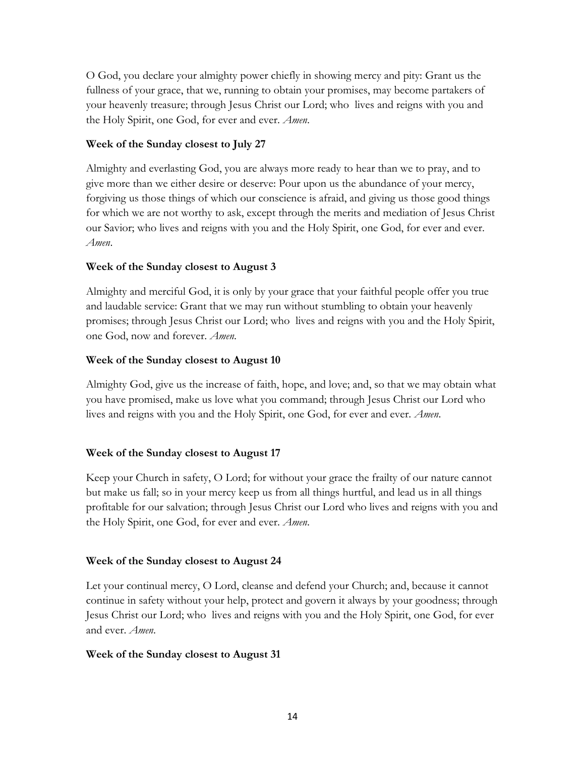O God, you declare your almighty power chiefly in showing mercy and pity: Grant us the fullness of your grace, that we, running to obtain your promises, may become partakers of your heavenly treasure; through Jesus Christ our Lord; who lives and reigns with you and the Holy Spirit, one God, for ever and ever. *Amen*.

### **Week of the Sunday closest to July 27**

Almighty and everlasting God, you are always more ready to hear than we to pray, and to give more than we either desire or deserve: Pour upon us the abundance of your mercy, forgiving us those things of which our conscience is afraid, and giving us those good things for which we are not worthy to ask, except through the merits and mediation of Jesus Christ our Savior; who lives and reigns with you and the Holy Spirit, one God, for ever and ever. *Amen*.

### **Week of the Sunday closest to August 3**

Almighty and merciful God, it is only by your grace that your faithful people offer you true and laudable service: Grant that we may run without stumbling to obtain your heavenly promises; through Jesus Christ our Lord; who lives and reigns with you and the Holy Spirit, one God, now and forever. *Amen*.

### **Week of the Sunday closest to August 10**

Almighty God, give us the increase of faith, hope, and love; and, so that we may obtain what you have promised, make us love what you command; through Jesus Christ our Lord who lives and reigns with you and the Holy Spirit, one God, for ever and ever. *Amen*.

### **Week of the Sunday closest to August 17**

Keep your Church in safety, O Lord; for without your grace the frailty of our nature cannot but make us fall; so in your mercy keep us from all things hurtful, and lead us in all things profitable for our salvation; through Jesus Christ our Lord who lives and reigns with you and the Holy Spirit, one God, for ever and ever. *Amen*.

### **Week of the Sunday closest to August 24**

Let your continual mercy, O Lord, cleanse and defend your Church; and, because it cannot continue in safety without your help, protect and govern it always by your goodness; through Jesus Christ our Lord; who lives and reigns with you and the Holy Spirit, one God, for ever and ever. *Amen*.

### **Week of the Sunday closest to August 31**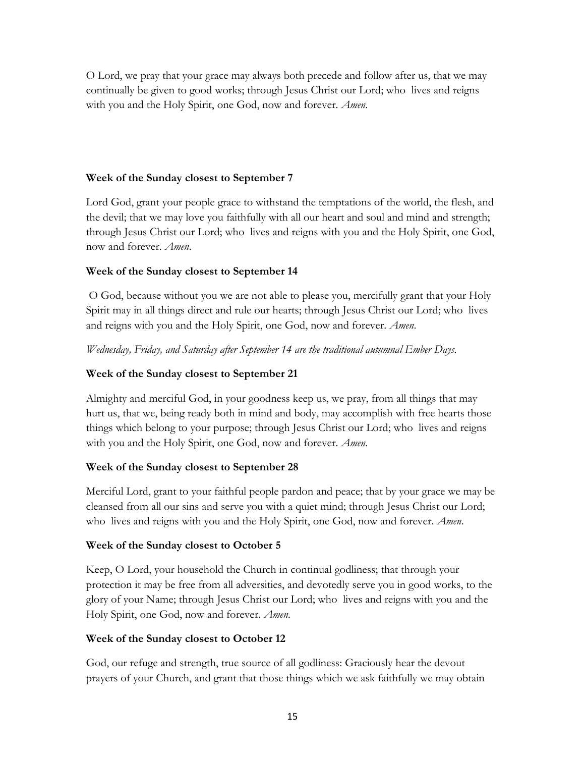O Lord, we pray that your grace may always both precede and follow after us, that we may continually be given to good works; through Jesus Christ our Lord; who lives and reigns with you and the Holy Spirit, one God, now and forever. *Amen*.

#### **Week of the Sunday closest to September 7**

Lord God, grant your people grace to withstand the temptations of the world, the flesh, and the devil; that we may love you faithfully with all our heart and soul and mind and strength; through Jesus Christ our Lord; who lives and reigns with you and the Holy Spirit, one God, now and forever. *Amen*.

### **Week of the Sunday closest to September 14**

 O God, because without you we are not able to please you, mercifully grant that your Holy Spirit may in all things direct and rule our hearts; through Jesus Christ our Lord; who lives and reigns with you and the Holy Spirit, one God, now and forever. *Amen*.

*Wednesday, Friday, and Saturday after September 14 are the traditional autumnal Ember Days.*

#### **Week of the Sunday closest to September 21**

Almighty and merciful God, in your goodness keep us, we pray, from all things that may hurt us, that we, being ready both in mind and body, may accomplish with free hearts those things which belong to your purpose; through Jesus Christ our Lord; who lives and reigns with you and the Holy Spirit, one God, now and forever. *Amen.*

#### **Week of the Sunday closest to September 28**

Merciful Lord, grant to your faithful people pardon and peace; that by your grace we may be cleansed from all our sins and serve you with a quiet mind; through Jesus Christ our Lord; who lives and reigns with you and the Holy Spirit, one God, now and forever. *Amen*.

#### **Week of the Sunday closest to October 5**

Keep, O Lord, your household the Church in continual godliness; that through your protection it may be free from all adversities, and devotedly serve you in good works, to the glory of your Name; through Jesus Christ our Lord; who lives and reigns with you and the Holy Spirit, one God, now and forever. *Amen*.

#### **Week of the Sunday closest to October 12**

God, our refuge and strength, true source of all godliness: Graciously hear the devout prayers of your Church, and grant that those things which we ask faithfully we may obtain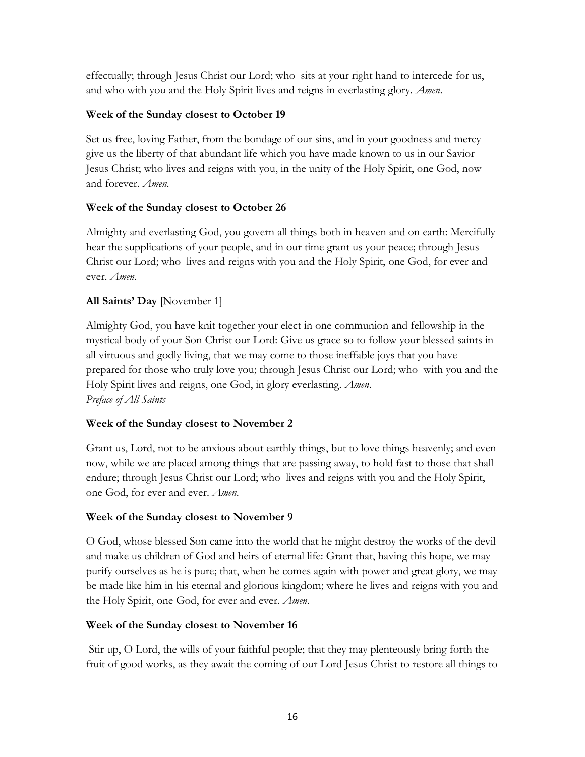effectually; through Jesus Christ our Lord; who sits at your right hand to intercede for us, and who with you and the Holy Spirit lives and reigns in everlasting glory. *Amen*.

### **Week of the Sunday closest to October 19**

Set us free, loving Father, from the bondage of our sins, and in your goodness and mercy give us the liberty of that abundant life which you have made known to us in our Savior Jesus Christ; who lives and reigns with you, in the unity of the Holy Spirit, one God, now and forever. *Amen*.

### **Week of the Sunday closest to October 26**

Almighty and everlasting God, you govern all things both in heaven and on earth: Mercifully hear the supplications of your people, and in our time grant us your peace; through Jesus Christ our Lord; who lives and reigns with you and the Holy Spirit, one God, for ever and ever. *Amen*.

### **All Saints' Day** [November 1]

Almighty God, you have knit together your elect in one communion and fellowship in the mystical body of your Son Christ our Lord: Give us grace so to follow your blessed saints in all virtuous and godly living, that we may come to those ineffable joys that you have prepared for those who truly love you; through Jesus Christ our Lord; who with you and the Holy Spirit lives and reigns, one God, in glory everlasting. *Amen*. *Preface of All Saints*

### **Week of the Sunday closest to November 2**

Grant us, Lord, not to be anxious about earthly things, but to love things heavenly; and even now, while we are placed among things that are passing away, to hold fast to those that shall endure; through Jesus Christ our Lord; who lives and reigns with you and the Holy Spirit, one God, for ever and ever. *Amen*.

### **Week of the Sunday closest to November 9**

O God, whose blessed Son came into the world that he might destroy the works of the devil and make us children of God and heirs of eternal life: Grant that, having this hope, we may purify ourselves as he is pure; that, when he comes again with power and great glory, we may be made like him in his eternal and glorious kingdom; where he lives and reigns with you and the Holy Spirit, one God, for ever and ever. *Amen*.

### **Week of the Sunday closest to November 16**

 Stir up, O Lord, the wills of your faithful people; that they may plenteously bring forth the fruit of good works, as they await the coming of our Lord Jesus Christ to restore all things to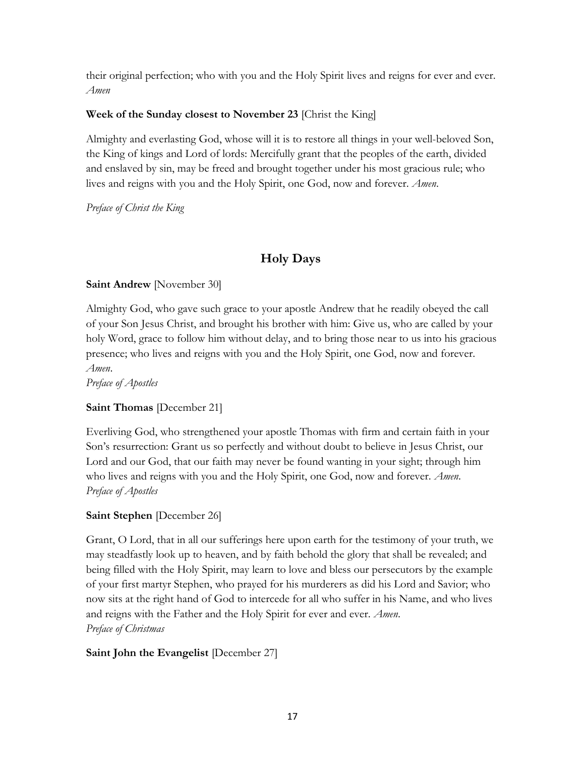their original perfection; who with you and the Holy Spirit lives and reigns for ever and ever. *Amen* 

### **Week of the Sunday closest to November 23** [Christ the King]

Almighty and everlasting God, whose will it is to restore all things in your well-beloved Son, the King of kings and Lord of lords: Mercifully grant that the peoples of the earth, divided and enslaved by sin, may be freed and brought together under his most gracious rule; who lives and reigns with you and the Holy Spirit, one God, now and forever. *Amen*.

*Preface of Christ the King*

# **Holy Days**

### **Saint Andrew** [November 30]

Almighty God, who gave such grace to your apostle Andrew that he readily obeyed the call of your Son Jesus Christ, and brought his brother with him: Give us, who are called by your holy Word, grace to follow him without delay, and to bring those near to us into his gracious presence; who lives and reigns with you and the Holy Spirit, one God, now and forever. *Amen*.

*Preface of Apostles*

# **Saint Thomas** [December 21]

Everliving God, who strengthened your apostle Thomas with firm and certain faith in your Son's resurrection: Grant us so perfectly and without doubt to believe in Jesus Christ, our Lord and our God, that our faith may never be found wanting in your sight; through him who lives and reigns with you and the Holy Spirit, one God, now and forever. *Amen*. *Preface of Apostles*

# **Saint Stephen** [December 26]

Grant, O Lord, that in all our sufferings here upon earth for the testimony of your truth, we may steadfastly look up to heaven, and by faith behold the glory that shall be revealed; and being filled with the Holy Spirit, may learn to love and bless our persecutors by the example of your first martyr Stephen, who prayed for his murderers as did his Lord and Savior; who now sits at the right hand of God to intercede for all who suffer in his Name, and who lives and reigns with the Father and the Holy Spirit for ever and ever. *Amen*. *Preface of Christmas*

# **Saint John the Evangelist** [December 27]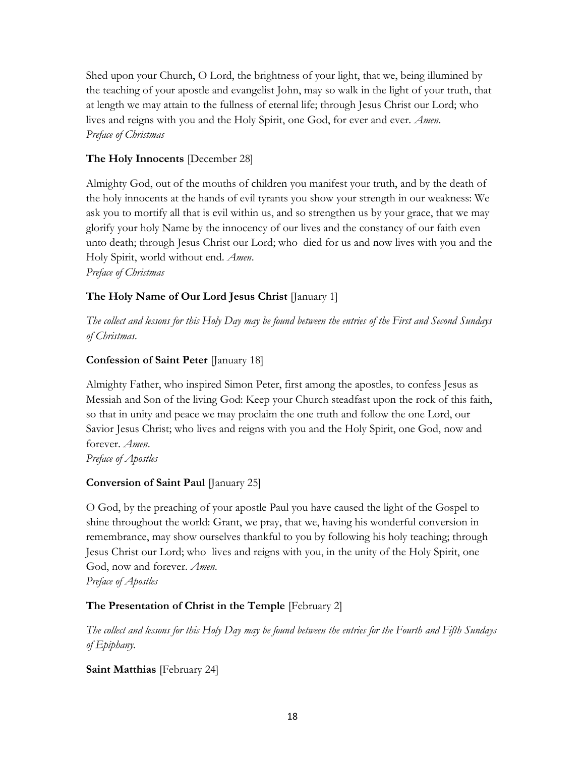Shed upon your Church, O Lord, the brightness of your light, that we, being illumined by the teaching of your apostle and evangelist John, may so walk in the light of your truth, that at length we may attain to the fullness of eternal life; through Jesus Christ our Lord; who lives and reigns with you and the Holy Spirit, one God, for ever and ever. *Amen*. *Preface of Christmas*

# **The Holy Innocents** [December 28]

Almighty God, out of the mouths of children you manifest your truth, and by the death of the holy innocents at the hands of evil tyrants you show your strength in our weakness: We ask you to mortify all that is evil within us, and so strengthen us by your grace, that we may glorify your holy Name by the innocency of our lives and the constancy of our faith even unto death; through Jesus Christ our Lord; who died for us and now lives with you and the Holy Spirit, world without end. *Amen*. *Preface of Christmas*

# **The Holy Name of Our Lord Jesus Christ** [January 1]

*The collect and lessons for this Holy Day may be found between the entries of the First and Second Sundays of Christmas.*

# **Confession of Saint Peter** [January 18]

Almighty Father, who inspired Simon Peter, first among the apostles, to confess Jesus as Messiah and Son of the living God: Keep your Church steadfast upon the rock of this faith, so that in unity and peace we may proclaim the one truth and follow the one Lord, our Savior Jesus Christ; who lives and reigns with you and the Holy Spirit, one God, now and forever. *Amen*.

*Preface of Apostles*

# **Conversion of Saint Paul** [January 25]

O God, by the preaching of your apostle Paul you have caused the light of the Gospel to shine throughout the world: Grant, we pray, that we, having his wonderful conversion in remembrance, may show ourselves thankful to you by following his holy teaching; through Jesus Christ our Lord; who lives and reigns with you, in the unity of the Holy Spirit, one God, now and forever. *Amen*.

*Preface of Apostles*

# **The Presentation of Christ in the Temple** [February 2]

*The collect and lessons for this Holy Day may be found between the entries for the Fourth and Fifth Sundays of Epiphany.*

**Saint Matthias** [February 24]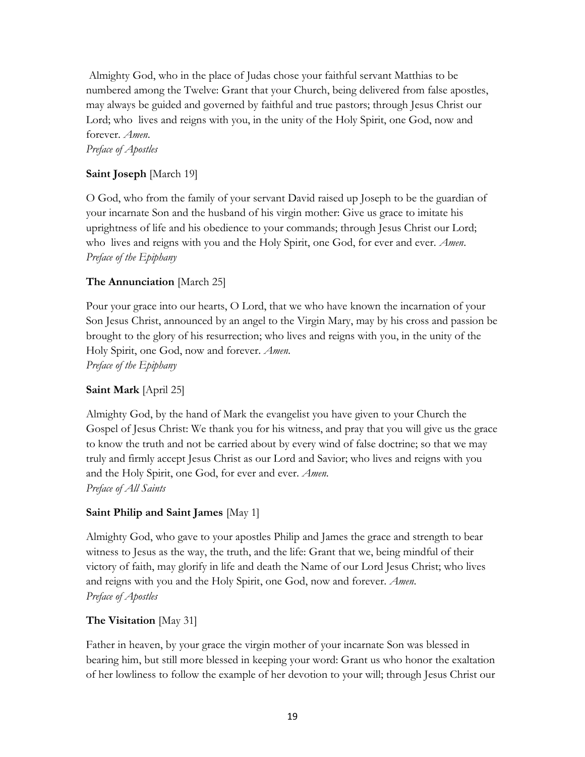Almighty God, who in the place of Judas chose your faithful servant Matthias to be numbered among the Twelve: Grant that your Church, being delivered from false apostles, may always be guided and governed by faithful and true pastors; through Jesus Christ our Lord; who lives and reigns with you, in the unity of the Holy Spirit, one God, now and forever. *Amen*. *Preface of Apostles*

# **Saint Joseph** [March 19]

O God, who from the family of your servant David raised up Joseph to be the guardian of your incarnate Son and the husband of his virgin mother: Give us grace to imitate his uprightness of life and his obedience to your commands; through Jesus Christ our Lord; who lives and reigns with you and the Holy Spirit, one God, for ever and ever. *Amen*. *Preface of the Epiphany*

### **The Annunciation** [March 25]

Pour your grace into our hearts, O Lord, that we who have known the incarnation of your Son Jesus Christ, announced by an angel to the Virgin Mary, may by his cross and passion be brought to the glory of his resurrection; who lives and reigns with you, in the unity of the Holy Spirit, one God, now and forever. *Amen*. *Preface of the Epiphany*

#### **Saint Mark** [April 25]

Almighty God, by the hand of Mark the evangelist you have given to your Church the Gospel of Jesus Christ: We thank you for his witness, and pray that you will give us the grace to know the truth and not be carried about by every wind of false doctrine; so that we may truly and firmly accept Jesus Christ as our Lord and Savior; who lives and reigns with you and the Holy Spirit, one God, for ever and ever. *Amen*. *Preface of All Saints*

#### **Saint Philip and Saint James** [May 1]

Almighty God, who gave to your apostles Philip and James the grace and strength to bear witness to Jesus as the way, the truth, and the life: Grant that we, being mindful of their victory of faith, may glorify in life and death the Name of our Lord Jesus Christ; who lives and reigns with you and the Holy Spirit, one God, now and forever. *Amen*. *Preface of Apostles*

### **The Visitation** [May 31]

Father in heaven, by your grace the virgin mother of your incarnate Son was blessed in bearing him, but still more blessed in keeping your word: Grant us who honor the exaltation of her lowliness to follow the example of her devotion to your will; through Jesus Christ our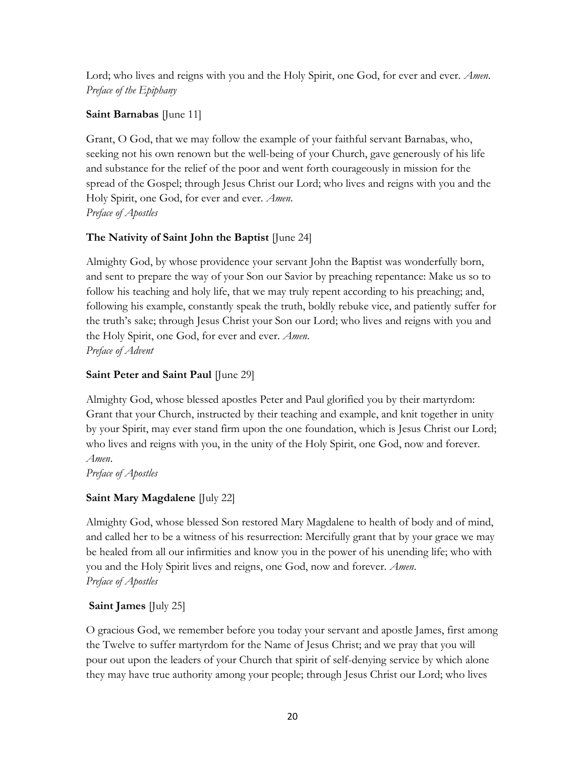Lord; who lives and reigns with you and the Holy Spirit, one God, for ever and ever. *Amen*. *Preface of the Epiphany*

# **Saint Barnabas** [June 11]

Grant, O God, that we may follow the example of your faithful servant Barnabas, who, seeking not his own renown but the well-being of your Church, gave generously of his life and substance for the relief of the poor and went forth courageously in mission for the spread of the Gospel; through Jesus Christ our Lord; who lives and reigns with you and the Holy Spirit, one God, for ever and ever. *Amen*. *Preface of Apostles*

# **The Nativity of Saint John the Baptist** [June 24]

Almighty God, by whose providence your servant John the Baptist was wonderfully born, and sent to prepare the way of your Son our Savior by preaching repentance: Make us so to follow his teaching and holy life, that we may truly repent according to his preaching; and, following his example, constantly speak the truth, boldly rebuke vice, and patiently suffer for the truth's sake; through Jesus Christ your Son our Lord; who lives and reigns with you and the Holy Spirit, one God, for ever and ever. *Amen*. *Preface of Advent*

# **Saint Peter and Saint Paul** [June 29]

Almighty God, whose blessed apostles Peter and Paul glorified you by their martyrdom: Grant that your Church, instructed by their teaching and example, and knit together in unity by your Spirit, may ever stand firm upon the one foundation, which is Jesus Christ our Lord; who lives and reigns with you, in the unity of the Holy Spirit, one God, now and forever. *Amen*.

*Preface of Apostles*

# **Saint Mary Magdalene** [July 22]

Almighty God, whose blessed Son restored Mary Magdalene to health of body and of mind, and called her to be a witness of his resurrection: Mercifully grant that by your grace we may be healed from all our infirmities and know you in the power of his unending life; who with you and the Holy Spirit lives and reigns, one God, now and forever. *Amen*. *Preface of Apostles*

# **Saint James** [July 25]

O gracious God, we remember before you today your servant and apostle James, first among the Twelve to suffer martyrdom for the Name of Jesus Christ; and we pray that you will pour out upon the leaders of your Church that spirit of self-denying service by which alone they may have true authority among your people; through Jesus Christ our Lord; who lives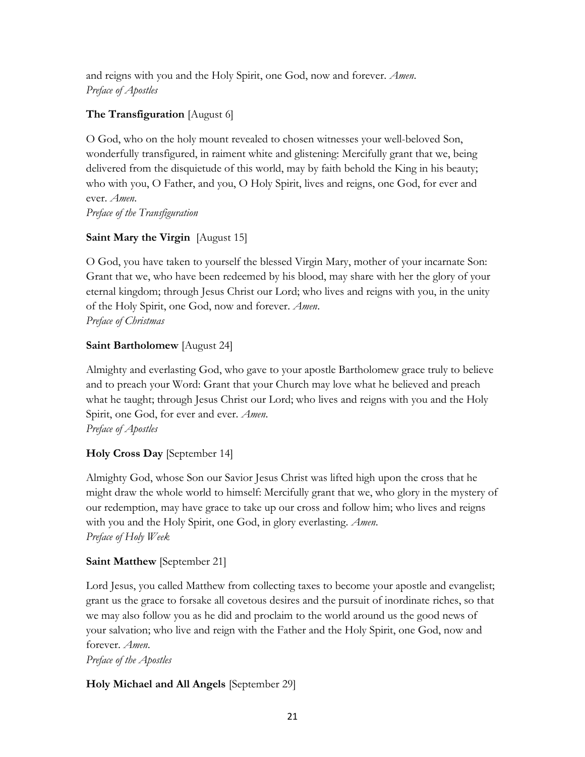and reigns with you and the Holy Spirit, one God, now and forever. *Amen*. *Preface of Apostles*

# **The Transfiguration** [August 6]

O God, who on the holy mount revealed to chosen witnesses your well-beloved Son, wonderfully transfigured, in raiment white and glistening: Mercifully grant that we, being delivered from the disquietude of this world, may by faith behold the King in his beauty; who with you, O Father, and you, O Holy Spirit, lives and reigns, one God, for ever and ever. *Amen*.

*Preface of the Transfiguration*

# **Saint Mary the Virgin** [August 15]

O God, you have taken to yourself the blessed Virgin Mary, mother of your incarnate Son: Grant that we, who have been redeemed by his blood, may share with her the glory of your eternal kingdom; through Jesus Christ our Lord; who lives and reigns with you, in the unity of the Holy Spirit, one God, now and forever. *Amen*. *Preface of Christmas*

# **Saint Bartholomew** [August 24]

Almighty and everlasting God, who gave to your apostle Bartholomew grace truly to believe and to preach your Word: Grant that your Church may love what he believed and preach what he taught; through Jesus Christ our Lord; who lives and reigns with you and the Holy Spirit, one God, for ever and ever. *Amen*. *Preface of Apostles*

# **Holy Cross Day** [September 14]

Almighty God, whose Son our Savior Jesus Christ was lifted high upon the cross that he might draw the whole world to himself: Mercifully grant that we, who glory in the mystery of our redemption, may have grace to take up our cross and follow him; who lives and reigns with you and the Holy Spirit, one God, in glory everlasting. *Amen*. *Preface of Holy Week*

# **Saint Matthew** [September 21]

Lord Jesus, you called Matthew from collecting taxes to become your apostle and evangelist; grant us the grace to forsake all covetous desires and the pursuit of inordinate riches, so that we may also follow you as he did and proclaim to the world around us the good news of your salvation; who live and reign with the Father and the Holy Spirit, one God, now and forever. *Amen*.

*Preface of the Apostles*

# **Holy Michael and All Angels** [September 29]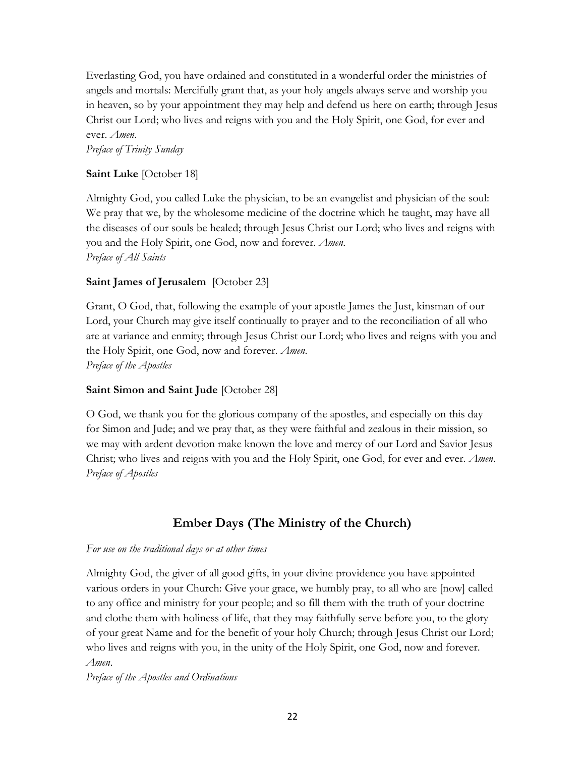Everlasting God, you have ordained and constituted in a wonderful order the ministries of angels and mortals: Mercifully grant that, as your holy angels always serve and worship you in heaven, so by your appointment they may help and defend us here on earth; through Jesus Christ our Lord; who lives and reigns with you and the Holy Spirit, one God, for ever and ever. *Amen*.

*Preface of Trinity Sunday*

### **Saint Luke** [October 18]

Almighty God, you called Luke the physician, to be an evangelist and physician of the soul: We pray that we, by the wholesome medicine of the doctrine which he taught, may have all the diseases of our souls be healed; through Jesus Christ our Lord; who lives and reigns with you and the Holy Spirit, one God, now and forever. *Amen*. *Preface of All Saints*

### **Saint James of Jerusalem** [October 23]

Grant, O God, that, following the example of your apostle James the Just, kinsman of our Lord, your Church may give itself continually to prayer and to the reconciliation of all who are at variance and enmity; through Jesus Christ our Lord; who lives and reigns with you and the Holy Spirit, one God, now and forever. *Amen*. *Preface of the Apostles*

### **Saint Simon and Saint Jude** [October 28]

O God, we thank you for the glorious company of the apostles, and especially on this day for Simon and Jude; and we pray that, as they were faithful and zealous in their mission, so we may with ardent devotion make known the love and mercy of our Lord and Savior Jesus Christ; who lives and reigns with you and the Holy Spirit, one God, for ever and ever. *Amen*. *Preface of Apostles*

# **Ember Days (The Ministry of the Church)**

#### *For use on the traditional days or at other times*

Almighty God, the giver of all good gifts, in your divine providence you have appointed various orders in your Church: Give your grace, we humbly pray, to all who are [now] called to any office and ministry for your people; and so fill them with the truth of your doctrine and clothe them with holiness of life, that they may faithfully serve before you, to the glory of your great Name and for the benefit of your holy Church; through Jesus Christ our Lord; who lives and reigns with you, in the unity of the Holy Spirit, one God, now and forever. *Amen*.

*Preface of the Apostles and Ordinations*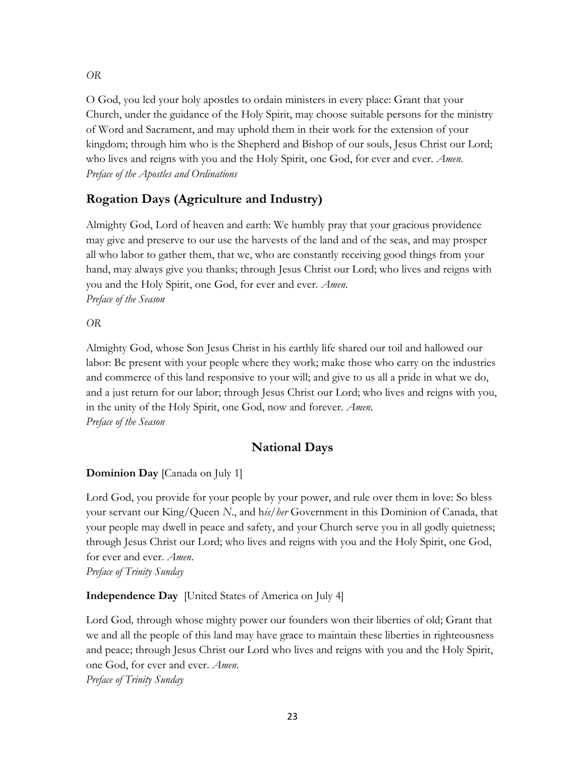O God, you led your holy apostles to ordain ministers in every place: Grant that your Church, under the guidance of the Holy Spirit, may choose suitable persons for the ministry of Word and Sacrament, and may uphold them in their work for the extension of your kingdom; through him who is the Shepherd and Bishop of our souls, Jesus Christ our Lord; who lives and reigns with you and the Holy Spirit, one God, for ever and ever. *Amen*. *Preface of the Apostles and Ordinations*

# **Rogation Days (Agriculture and Industry)**

Almighty God, Lord of heaven and earth: We humbly pray that your gracious providence may give and preserve to our use the harvests of the land and of the seas, and may prosper all who labor to gather them, that we, who are constantly receiving good things from your hand, may always give you thanks; through Jesus Christ our Lord; who lives and reigns with you and the Holy Spirit, one God, for ever and ever. *Amen*. *Preface of the Season*

*OR*

Almighty God, whose Son Jesus Christ in his earthly life shared our toil and hallowed our labor: Be present with your people where they work; make those who carry on the industries and commerce of this land responsive to your will; and give to us all a pride in what we do, and a just return for our labor; through Jesus Christ our Lord; who lives and reigns with you, in the unity of the Holy Spirit, one God, now and forever. *Amen*. *Preface of the Season*

# **National Days**

# **Dominion Day** [Canada on July 1]

Lord God, you provide for your people by your power, and rule over them in love: So bless your servant our King/Queen *N*., and h*is/her* Government in this Dominion of Canada, that your people may dwell in peace and safety, and your Church serve you in all godly quietness; through Jesus Christ our Lord; who lives and reigns with you and the Holy Spirit, one God, for ever and ever. *Amen*. *Preface of Trinity Sunday*

**Independence Day** [United States of America on July 4]

Lord God*,* through whose mighty power our founders won their liberties of old; Grant that we and all the people of this land may have grace to maintain these liberties in righteousness and peace; through Jesus Christ our Lord who lives and reigns with you and the Holy Spirit, one God, for ever and ever. *Amen*. *Preface of Trinity Sunday*

*OR*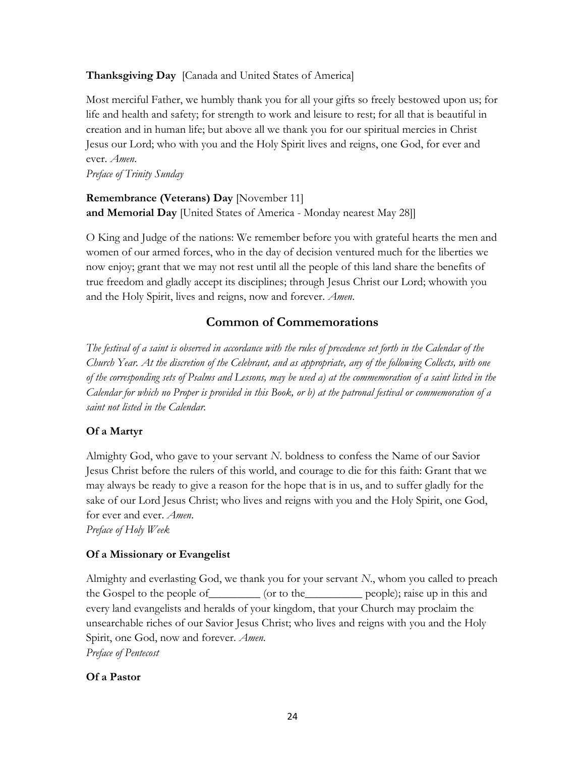### **Thanksgiving Day** [Canada and United States of America]

Most merciful Father, we humbly thank you for all your gifts so freely bestowed upon us; for life and health and safety; for strength to work and leisure to rest; for all that is beautiful in creation and in human life; but above all we thank you for our spiritual mercies in Christ Jesus our Lord; who with you and the Holy Spirit lives and reigns, one God, for ever and ever. *Amen*.

*Preface of Trinity Sunday*

**Remembrance (Veterans) Day** [November 11] **and Memorial Day** [United States of America - Monday nearest May 28]]

O King and Judge of the nations: We remember before you with grateful hearts the men and women of our armed forces, who in the day of decision ventured much for the liberties we now enjoy; grant that we may not rest until all the people of this land share the benefits of true freedom and gladly accept its disciplines; through Jesus Christ our Lord; whowith you and the Holy Spirit, lives and reigns, now and forever. *Amen*.

# **Common of Commemorations**

*The festival of a saint is observed in accordance with the rules of precedence set forth in the Calendar of the Church Year. At the discretion of the Celebrant, and as appropriate, any of the following Collects, with one of the corresponding sets of Psalms and Lessons, may be used a) at the commemoration of a saint listed in the Calendar for which no Proper is provided in this Book, or b) at the patronal festival or commemoration of a saint not listed in the Calendar.* 

### **Of a Martyr**

Almighty God, who gave to your servant *N*. boldness to confess the Name of our Savior Jesus Christ before the rulers of this world, and courage to die for this faith: Grant that we may always be ready to give a reason for the hope that is in us, and to suffer gladly for the sake of our Lord Jesus Christ; who lives and reigns with you and the Holy Spirit, one God, for ever and ever. *Amen*.

*Preface of Holy Week*

### **Of a Missionary or Evangelist**

Almighty and everlasting God, we thank you for your servant *N*., whom you called to preach the Gospel to the people of\_\_\_\_\_\_\_\_\_ (or to the\_\_\_\_\_\_\_\_\_\_ people); raise up in this and every land evangelists and heralds of your kingdom, that your Church may proclaim the unsearchable riches of our Savior Jesus Christ; who lives and reigns with you and the Holy Spirit, one God, now and forever. *Amen*. *Preface of Pentecost*

### **Of a Pastor**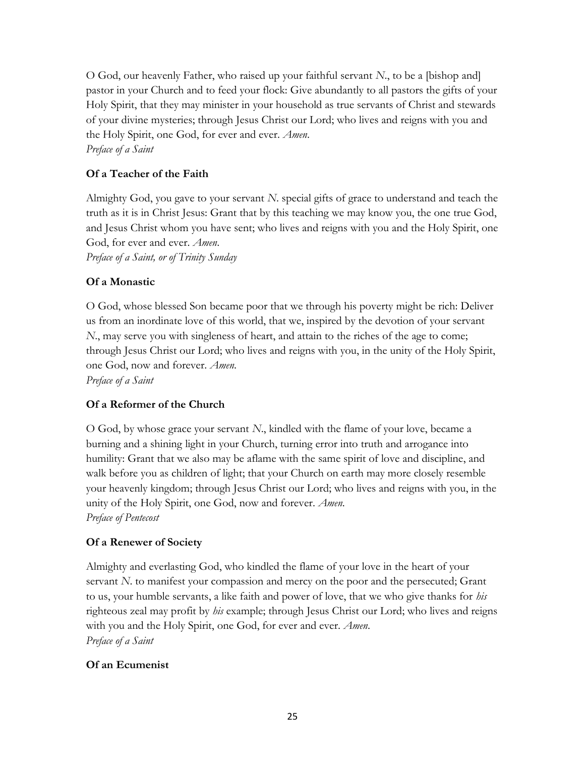O God, our heavenly Father, who raised up your faithful servant *N*., to be a [bishop and] pastor in your Church and to feed your flock: Give abundantly to all pastors the gifts of your Holy Spirit, that they may minister in your household as true servants of Christ and stewards of your divine mysteries; through Jesus Christ our Lord; who lives and reigns with you and the Holy Spirit, one God, for ever and ever. *Amen*. *Preface of a Saint* 

# **Of a Teacher of the Faith**

Almighty God, you gave to your servant *N*. special gifts of grace to understand and teach the truth as it is in Christ Jesus: Grant that by this teaching we may know you, the one true God, and Jesus Christ whom you have sent; who lives and reigns with you and the Holy Spirit, one God, for ever and ever. *Amen*.

*Preface of a Saint, or of Trinity Sunday*

# **Of a Monastic**

O God, whose blessed Son became poor that we through his poverty might be rich: Deliver us from an inordinate love of this world, that we, inspired by the devotion of your servant *N*., may serve you with singleness of heart, and attain to the riches of the age to come; through Jesus Christ our Lord; who lives and reigns with you, in the unity of the Holy Spirit, one God, now and forever. *Amen*. *Preface of a Saint*

# **Of a Reformer of the Church**

O God, by whose grace your servant *N*., kindled with the flame of your love, became a burning and a shining light in your Church, turning error into truth and arrogance into humility: Grant that we also may be aflame with the same spirit of love and discipline, and walk before you as children of light; that your Church on earth may more closely resemble your heavenly kingdom; through Jesus Christ our Lord; who lives and reigns with you, in the unity of the Holy Spirit, one God, now and forever. *Amen*. *Preface of Pentecost*

# **Of a Renewer of Society**

Almighty and everlasting God, who kindled the flame of your love in the heart of your servant *N*. to manifest your compassion and mercy on the poor and the persecuted; Grant to us, your humble servants, a like faith and power of love, that we who give thanks for *his* righteous zeal may profit by *his* example; through Jesus Christ our Lord; who lives and reigns with you and the Holy Spirit, one God, for ever and ever. *Amen*. *Preface of a Saint*

### **Of an Ecumenist**